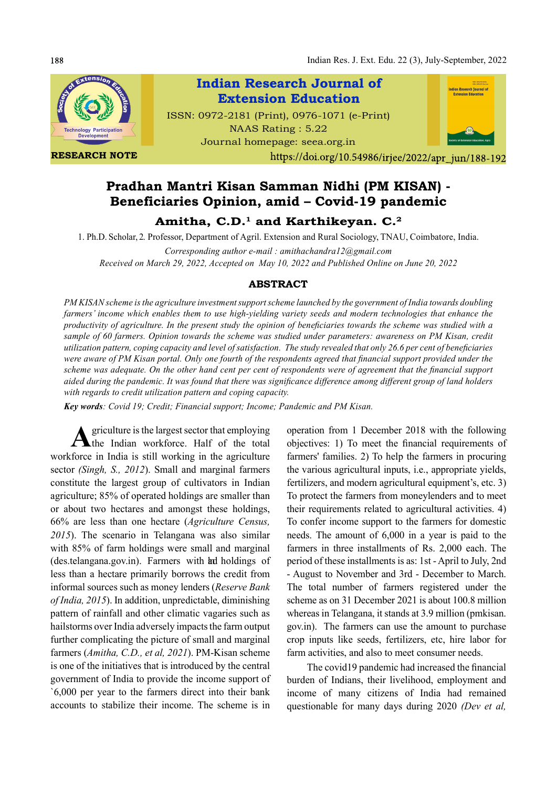Indian Res. J. Ext. Edu. 22 (3), July-September, 2022



RESEARCH NOTE

Indian Research Journal of Indian Research Journal of<br>Extension Education Extension EducationISSN: 0972-2181 (Print), 0976-1071 (e-Print) NAAS Rating : 5.22 Journal homepage: seea.org.in

https://doi.org/10.54986/irjee/2022/apr\_jun/188-192

# Pradhan Mantri Kisan Samman Nidhi (PM KISAN) - Beneficiaries Opinion, amid – Covid-19 pandemic

Amitha,  $C.D.^1$  and Karthikeyan.  $C.^2$ 

1. Ph.D. Scholar, 2. Professor, Department of Agril. Extension and Rural Sociology, TNAU, Coimbatore, India. Corresponding author e-mail : amithachandra12@gmail.com

Received on March 29, 2022, Accepted on May 10, 2022 and Published Online on June 20, 2022

## ABSTRACT

PM KISAN scheme is the agriculture investment support scheme launched by the government of India towards doubling farmers' income which enables them to use high-yielding variety seeds and modern technologies that enhance the productivity of agriculture. In the present study the opinion of beneficiaries towards the scheme was studied with a sample of 60 farmers. Opinion towards the scheme was studied under parameters: awareness on PM Kisan, credit utilization pattern, coping capacity and level of satisfaction. The study revealed that only  $26.6$  per cent of beneficiaries were aware of PM Kisan portal. Only one fourth of the respondents agreed that financial support provided under the scheme was adequate. On the other hand cent per cent of respondents were of agreement that the financial support aided during the pandemic. It was found that there was significance difference among different group of land holders with regards to credit utilization pattern and coping capacity.

Key words: Covid 19; Credit; Financial support; Income; Pandemic and PM Kisan.

A griculture is the largest sector that employing operation from<br>the Indian workforce. Half of the total objectives: 1) griculture is the largest sector that employing workforce in India is still working in the agriculture sector (Singh, S., 2012). Small and marginal farmers constitute the largest group of cultivators in Indian agriculture; 85% of operated holdings are smaller than or about two hectares and amongst these holdings, 66% are less than one hectare (Agriculture Census, 2015). The scenario in Telangana was also similar with 85% of farm holdings were small and marginal (des.telangana.gov.in). Farmers with heldings of less than a hectare primarily borrows the credit from informal sources such as money lenders (Reserve Bank of India, 2015). In addition, unpredictable, diminishing pattern of rainfall and other climatic vagaries such as hailstorms over India adversely impacts the farm output further complicating the picture of small and marginal farmers (Amitha, C.D., et al, 2021). PM-Kisan scheme is one of the initiatives that is introduced by the central government of India to provide the income support of `6,000 per year to the farmers direct into their bank accounts to stabilize their income. The scheme is in

operation from 1 December 2018 with the following objectives: 1) To meet the financial requirements of farmers' families. 2) To help the farmers in procuring the various agricultural inputs, i.e., appropriate yields, fertilizers, and modern agricultural equipment's, etc. 3) To protect the farmers from moneylenders and to meet their requirements related to agricultural activities. 4) To confer income support to the farmers for domestic needs. The amount of 6,000 in a year is paid to the farmers in three installments of Rs. 2,000 each. The period of these installments is as: 1st - April to July, 2nd - August to November and 3rd - December to March. The total number of farmers registered under the scheme as on 31 December 2021 is about 100.8 million whereas in Telangana, it stands at 3.9 million (pmkisan. gov.in). The farmers can use the amount to purchase crop inputs like seeds, fertilizers, etc, hire labor for farm activities, and also to meet consumer needs.

The covid19 pandemic had increased the financial burden of Indians, their livelihood, employment and income of many citizens of India had remained questionable for many days during 2020 (Dev et al,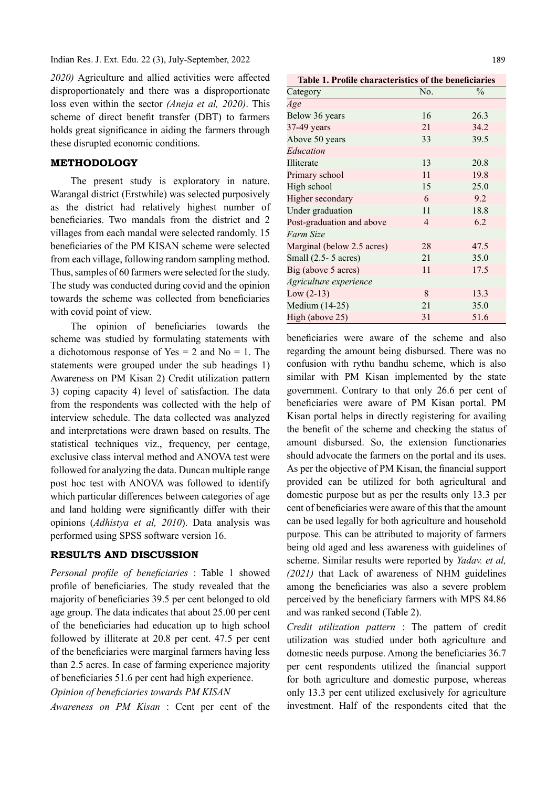$2020$ ) Agriculture and allied activities were affected disproportionately and there was a disproportionate loss even within the sector (Aneja et al, 2020). This scheme of direct benefit transfer (DBT) to farmers holds great significance in aiding the farmers through these disrupted economic conditions.

## METHODOLOGY

The present study is exploratory in nature. Warangal district (Erstwhile) was selected purposively as the district had relatively highest number of beneficiaries. Two mandals from the district and 2 villages from each mandal were selected randomly. 15 beneficiaries of the PM KISAN scheme were selected from each village, following random sampling method. Thus, samples of 60 farmers were selected for the study. The study was conducted during covid and the opinion towards the scheme was collected from beneficiaries with covid point of view.

The opinion of beneficiaries towards the scheme was studied by formulating statements with a dichotomous response of Yes  $= 2$  and No  $= 1$ . The statements were grouped under the sub headings 1) Awareness on PM Kisan 2) Credit utilization pattern 3) coping capacity 4) level of satisfaction. The data from the respondents was collected with the help of interview schedule. The data collected was analyzed and interpretations were drawn based on results. The statistical techniques viz., frequency, per centage, exclusive class interval method and ANOVA test were followed for analyzing the data. Duncan multiple range post hoc test with ANOVA was followed to identify which particular differences between categories of age and land holding were significantly differ with their opinions (Adhistya et al, 2010). Data analysis was performed using SPSS software version 16.

## RESULTS AND DISCUSSION

Personal profile of beneficiaries : Table 1 showed profile of beneficiaries. The study revealed that the majority of beneficiaries 39.5 per cent belonged to old age group. The data indicates that about 25.00 per cent of the beneficiaries had education up to high school followed by illiterate at 20.8 per cent. 47.5 per cent of the beneficiaries were marginal farmers having less than 2.5 acres. In case of farming experience majority of beneficiaries 51.6 per cent had high experience.

Opinion of beneficiaries towards PM KISAN

Awareness on PM Kisan : Cent per cent of the

Table 1. Profile characteristics of the beneficiaries

| Category                        | No. | $\frac{0}{0}$ |
|---------------------------------|-----|---------------|
|                                 |     |               |
| Age                             |     |               |
| Below 36 years                  | 16  | 26.3          |
| 37-49 years                     | 21  | 34.2          |
| Above 50 years                  | 33  | 39.5          |
| Education                       |     |               |
| Illiterate                      | 13  | 20.8          |
| Primary school                  | 11  | 19.8          |
| High school                     | 15  | 25.0          |
| Higher secondary                | 6   | 9.2           |
| Under graduation                | 11  | 18.8          |
| Post-graduation and above       | 4   | 6.2           |
| Farm Size                       |     |               |
| Marginal (below 2.5 acres)      | 28  | 47.5          |
| Small $(2.5 - 5 \text{ acres})$ | 21  | 35.0          |
| Big (above 5 acres)             | 11  | 17.5          |
| Agriculture experience          |     |               |
| $Low (2-13)$                    | 8   | 13.3          |
| Medium (14-25)                  | 21  | 35.0          |
| High (above 25)                 | 31  | 51.6          |

beneficiaries were aware of the scheme and also regarding the amount being disbursed. There was no confusion with rythu bandhu scheme, which is also similar with PM Kisan implemented by the state government. Contrary to that only 26.6 per cent of beneficiaries were aware of PM Kisan portal. PM Kisan portal helps in directly registering for availing the benefit of the scheme and checking the status of amount disbursed. So, the extension functionaries should advocate the farmers on the portal and its uses. As per the objective of PM Kisan, the financial support provided can be utilized for both agricultural and domestic purpose but as per the results only 13.3 per cent of beneficiaries were aware of this that the amount can be used legally for both agriculture and household purpose. This can be attributed to majority of farmers being old aged and less awareness with guidelines of scheme. Similar results were reported by Yadav. et al, (2021) that Lack of awareness of NHM guidelines among the beneficiaries was also a severe problem perceived by the beneficiary farmers with MPS 84.86 and was ranked second (Table 2).

Credit utilization pattern : The pattern of credit utilization was studied under both agriculture and domestic needs purpose. Among the beneficiaries 36.7 per cent respondents utilized the financial support for both agriculture and domestic purpose, whereas only 13.3 per cent utilized exclusively for agriculture investment. Half of the respondents cited that the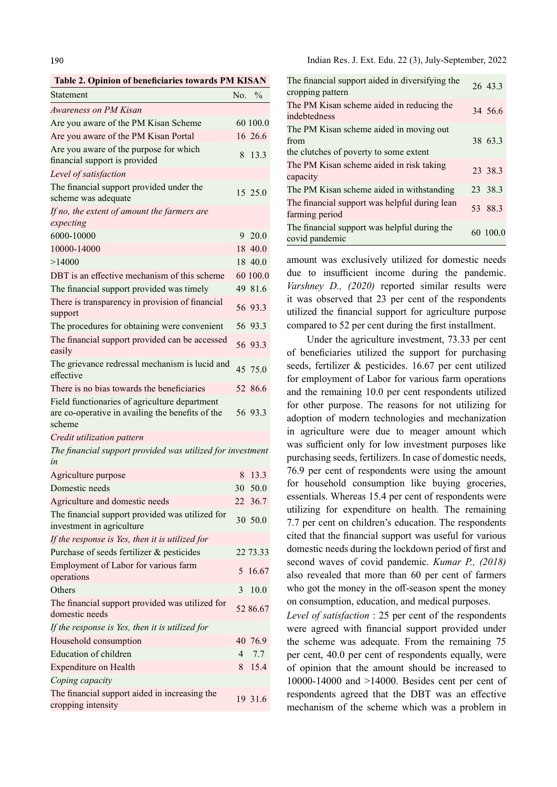Table 2. Opinion of beneficiaries towards PM KISAN

| Statement                                                                                                   |    | No. %    |
|-------------------------------------------------------------------------------------------------------------|----|----------|
| Awareness on PM Kisan                                                                                       |    |          |
| Are you aware of the PM Kisan Scheme                                                                        |    | 60 100.0 |
| Are you aware of the PM Kisan Portal                                                                        |    | 16 26.6  |
| Are you aware of the purpose for which<br>financial support is provided                                     | 8  | 13.3     |
| Level of satisfaction                                                                                       |    |          |
| The financial support provided under the<br>scheme was adequate                                             |    | 15 25.0  |
| If no, the extent of amount the farmers are<br>expecting                                                    |    |          |
| 6000-10000                                                                                                  | 9  | 20.0     |
| 10000-14000                                                                                                 |    | 18 40.0  |
| >14000                                                                                                      |    | 18 40.0  |
| DBT is an effective mechanism of this scheme                                                                |    | 60 100.0 |
| The financial support provided was timely                                                                   |    | 49 81.6  |
| There is transparency in provision of financial<br>support                                                  |    | 56 93.3  |
| The procedures for obtaining were convenient                                                                |    | 56 93.3  |
| The financial support provided can be accessed<br>easily                                                    |    | 56 93.3  |
| The grievance redressal mechanism is lucid and<br>effective                                                 |    | 45 75.0  |
| There is no bias towards the beneficiaries                                                                  |    | 52 86.6  |
| Field functionaries of agriculture department<br>are co-operative in availing the benefits of the<br>scheme |    | 56 93.3  |
| Credit utilization pattern                                                                                  |    |          |
| The financial support provided was utilized for investment<br>in                                            |    |          |
| Agriculture purpose                                                                                         | 8  | 13.3     |
| Domestic needs                                                                                              | 30 | 50.0     |
| Agriculture and domestic needs                                                                              | 22 | 36.7     |
| The financial support provided was utilized for<br>investment in agriculture                                |    | 30 50.0  |
| If the response is Yes, then it is utilized for                                                             |    |          |
| Purchase of seeds fertilizer & pesticides                                                                   |    | 22 73.33 |
| Employment of Labor for various farm<br>operations                                                          | 5  | 16.67    |
| Others                                                                                                      | 3  | 10.0     |
| The financial support provided was utilized for<br>domestic needs                                           |    | 52 86.67 |
| If the response is Yes, then it is utilized for                                                             |    |          |
| Household consumption                                                                                       |    | 40 76.9  |
| Education of children                                                                                       | 4  | 7.7      |
| <b>Expenditure on Health</b>                                                                                | 8  | 15.4     |
| Coping capacity                                                                                             |    |          |

The financial support aided in increasing the 19 31.6 cropping intensity

| The financial support aided in diversifying the<br>cropping pattern                       | 26 43.3  |
|-------------------------------------------------------------------------------------------|----------|
| The PM Kisan scheme aided in reducing the<br>indebtedness                                 | 34 56.6  |
| The PM Kisan scheme aided in moving out<br>from<br>the clutches of poverty to some extent | 38 63.3  |
| The PM Kisan scheme aided in risk taking<br>capacity                                      | 23 38.3  |
| The PM Kisan scheme aided in withstanding                                                 | 23 38.3  |
| The financial support was helpful during lean<br>farming period                           | 53 88.3  |
| The financial support was helpful during the<br>covid pandemic                            | 60 100.0 |

amount was exclusively utilized for domestic needs due to insufficient income during the pandemic. Varshney D., (2020) reported similar results were it was observed that 23 per cent of the respondents utilized the financial support for agriculture purpose compared to 52 per cent during the first installment.

Under the agriculture investment, 73.33 per cent of beneficiaries utilized the support for purchasing seeds, fertilizer & pesticides. 16.67 per cent utilized for employment of Labor for various farm operations and the remaining 10.0 per cent respondents utilized for other purpose. The reasons for not utilizing for adoption of modern technologies and mechanization in agriculture were due to meager amount which was sufficient only for low investment purposes like purchasing seeds, fertilizers. In case of domestic needs, 76.9 per cent of respondents were using the amount for household consumption like buying groceries, essentials. Whereas 15.4 per cent of respondents were utilizing for expenditure on health. The remaining 7.7 per cent on children's education. The respondents cited that the financial support was useful for various domestic needs during the lockdown period of first and second waves of covid pandemic. Kumar P., (2018) also revealed that more than 60 per cent of farmers who got the money in the off-season spent the money on consumption, education, and medical purposes.

Level of satisfaction : 25 per cent of the respondents were agreed with financial support provided under the scheme was adequate. From the remaining 75 per cent, 40.0 per cent of respondents equally, were of opinion that the amount should be increased to 10000-14000 and >14000. Besides cent per cent of respondents agreed that the DBT was an effective mechanism of the scheme which was a problem in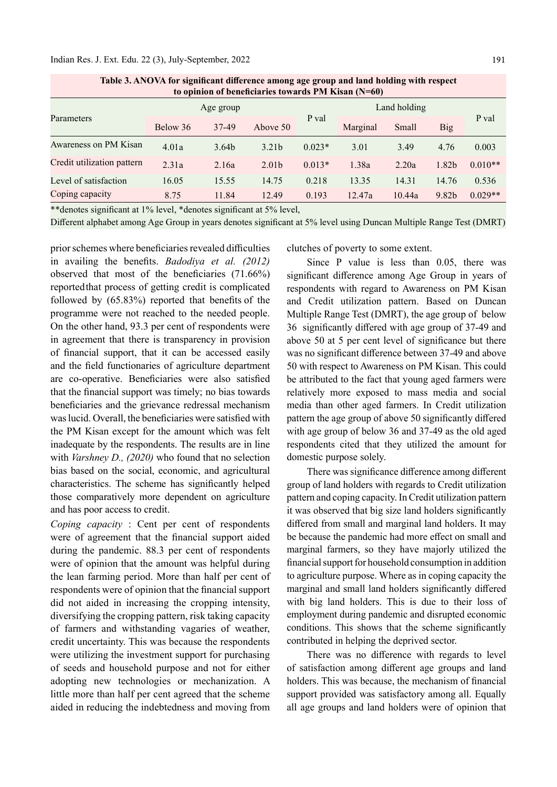#### Indian Res. J. Ext. Edu. 22 (3), July-September, 2022

| to opinion of beneficiaries towards PM Kisan (N=60) |           |                   |                   |              |          |        |            |           |
|-----------------------------------------------------|-----------|-------------------|-------------------|--------------|----------|--------|------------|-----------|
| Parameters                                          | Age group |                   |                   | Land holding |          |        |            |           |
|                                                     | Below 36  | 37-49             | Above 50          | P val        | Marginal | Small  | <b>Big</b> | P val     |
| Awareness on PM Kisan                               | 4.01a     | 3.64 <sub>b</sub> | 3.21 <sub>b</sub> | $0.023*$     | 3.01     | 3.49   | 4.76       | 0.003     |
| Credit utilization pattern                          | 2.31a     | 2.16a             | 2.01 <sub>b</sub> | $0.013*$     | 1.38a    | 2.20a  | 1.82b      | $0.010**$ |
| Level of satisfaction                               | 16.05     | 15.55             | 14.75             | 0.218        | 13.35    | 14.31  | 14.76      | 0.536     |
| Coping capacity                                     | 8.75      | 11.84             | 12.49             | 0.193        | 12.47a   | 10.44a | 9.82b      | $0.029**$ |

Table 3. ANOVA for significant difference among age group and land holding with respect

\*\*denotes significant at 1% level, \*denotes significant at 5% level,

Different alphabet among Age Group in years denotes significant at 5% level using Duncan Multiple Range Test (DMRT)

prior schemes where beneficiaries revealed difficulties in availing the benefits. Badodiya et al.  $(2012)$ observed that most of the beneficiaries  $(71.66\%)$ reported that process of getting credit is complicated followed by  $(65.83%)$  reported that benefits of the programme were not reached to the needed people. On the other hand, 93.3 per cent of respondents were in agreement that there is transparency in provision of financial support, that it can be accessed easily and the field functionaries of agriculture department are co-operative. Beneficiaries were also satisfied that the financial support was timely; no bias towards beneficiaries and the grievance redressal mechanism was lucid. Overall, the beneficiaries were satisfied with the PM Kisan except for the amount which was felt inadequate by the respondents. The results are in line with *Varshney D., (2020)* who found that no selection bias based on the social, economic, and agricultural characteristics. The scheme has significantly helped those comparatively more dependent on agriculture and has poor access to credit.

Coping capacity : Cent per cent of respondents were of agreement that the financial support aided during the pandemic. 88.3 per cent of respondents were of opinion that the amount was helpful during the lean farming period. More than half per cent of respondents were of opinion that the financial support did not aided in increasing the cropping intensity, diversifying the cropping pattern, risk taking capacity of farmers and withstanding vagaries of weather, credit uncertainty. This was because the respondents were utilizing the investment support for purchasing of seeds and household purpose and not for either adopting new technologies or mechanization. A little more than half per cent agreed that the scheme aided in reducing the indebtedness and moving from clutches of poverty to some extent.

Since P value is less than 0.05, there was significant difference among Age Group in years of respondents with regard to Awareness on PM Kisan and Credit utilization pattern. Based on Duncan Multiple Range Test (DMRT), the age group of below 36 significantly differed with age group of 37-49 and above 50 at 5 per cent level of significance but there was no significant difference between 37-49 and above 50 with respect to Awareness on PM Kisan. This could be attributed to the fact that young aged farmers were relatively more exposed to mass media and social media than other aged farmers. In Credit utilization pattern the age group of above 50 significantly differed with age group of below 36 and 37-49 as the old aged respondents cited that they utilized the amount for domestic purpose solely.

There was significance difference among different group of land holders with regards to Credit utilization pattern and coping capacity. In Credit utilization pattern it was observed that big size land holders significantly differed from small and marginal land holders. It may be because the pandemic had more effect on small and marginal farmers, so they have majorly utilized the financial support for household consumption in addition to agriculture purpose. Where as in coping capacity the marginal and small land holders significantly differed with big land holders. This is due to their loss of employment during pandemic and disrupted economic conditions. This shows that the scheme significantly contributed in helping the deprived sector.

There was no difference with regards to level of satisfaction among different age groups and land holders. This was because, the mechanism of financial support provided was satisfactory among all. Equally all age groups and land holders were of opinion that